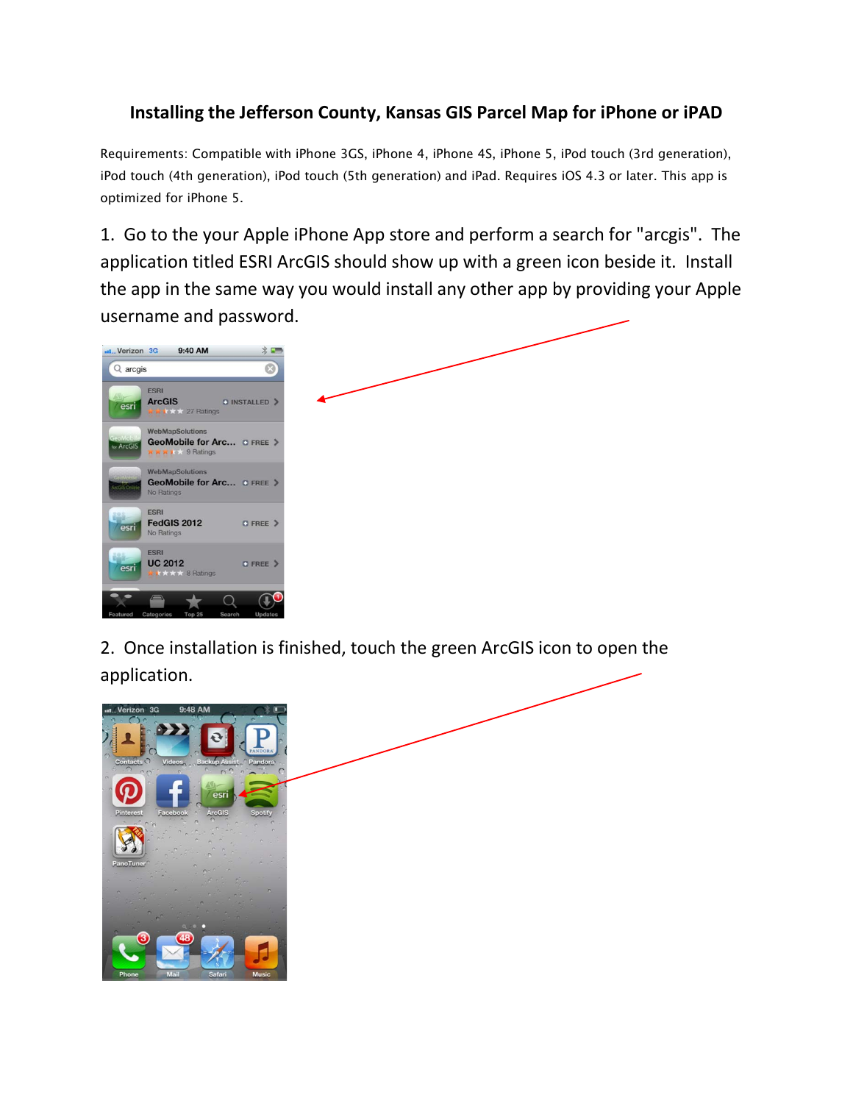## **Installing the Jefferson County, Kansas GIS Parcel Map for iPhone or iPAD**

Requirements: Compatible with iPhone 3GS, iPhone 4, iPhone 4S, iPhone 5, iPod touch (3rd generation), iPod touch (4th generation), iPod touch (5th generation) and iPad. Requires iOS 4.3 or later. This app is optimized for iPhone 5.

1. Go to the your Apple iPhone App store and perform a search for "arcgis". The application titled ESRI ArcGIS should show up with a green icon beside it. Install the app in the same way you would install any other app by providing your Apple username and password.

| $Q$ arcgis                                                                                    | $\odot$                 |  |  |
|-----------------------------------------------------------------------------------------------|-------------------------|--|--|
| <b>ESRI</b><br><b>ArcGIS</b><br>esri<br>₩ k k * * 27 Ratings                                  | <b>O INSTALLED &gt;</b> |  |  |
| <b>WebMapSolutions</b><br>GeoMobile for Arc O FREE ><br>for ArcGIS<br><b>XXXIXX</b> 9 Ratings |                         |  |  |
| WebMapSolutions<br>GeoMobile for Arc OFREE ><br>ArcGis Online<br>No Ratings                   |                         |  |  |
| <b>ESRI</b><br><b>FedGIS 2012</b><br>esri<br>No Ratings                                       | O FREE >                |  |  |
| <b>ESRI</b><br><b>UC 2012</b><br>esri<br><b>★ ★ ★ ★ 8 Ratings</b>                             | O FREE >                |  |  |

2. Once installation is finished, touch the green ArcGIS icon to open the application.

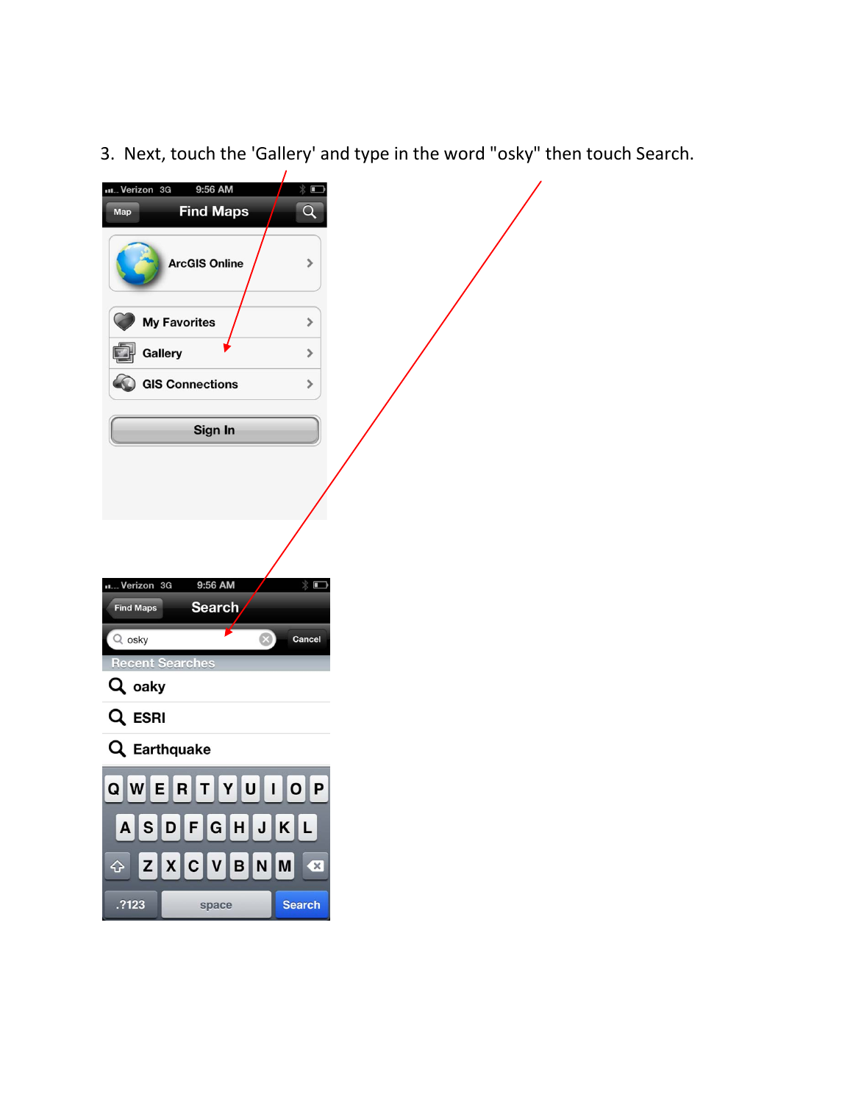3. Next, touch the 'Gallery' and type in the word "osky" then touch Search.

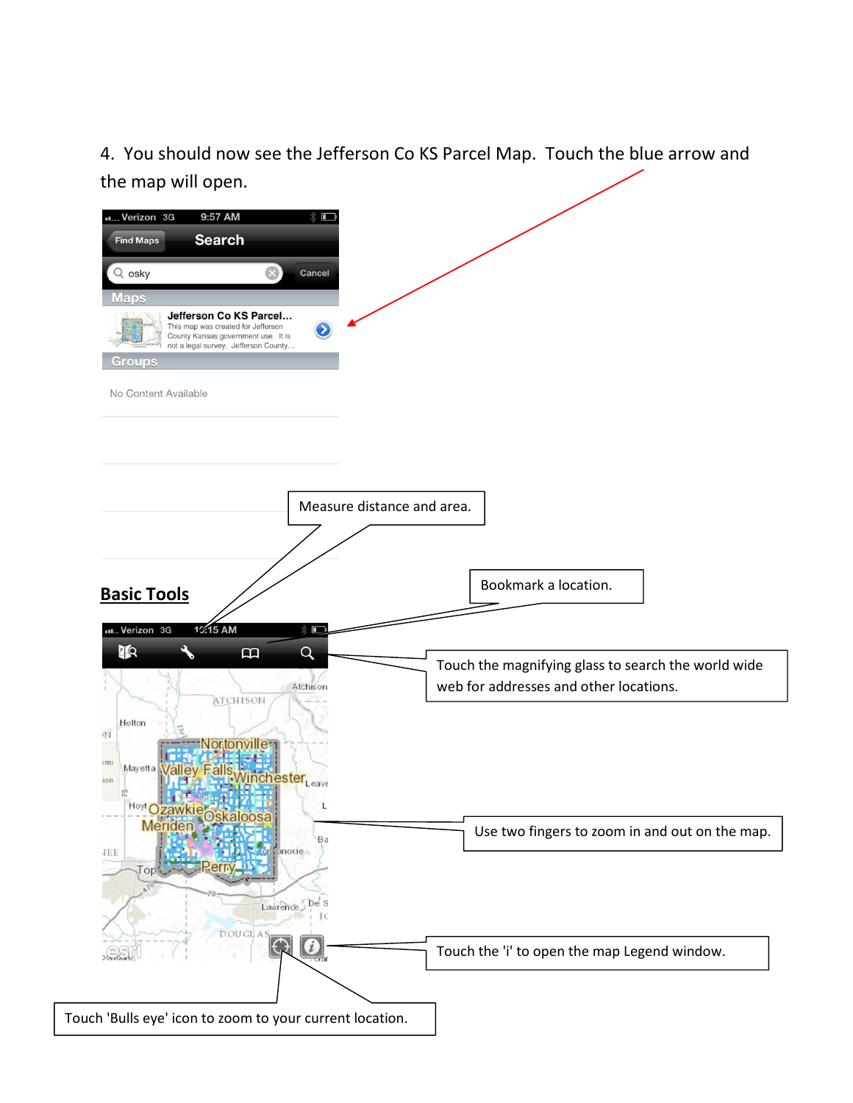4. You should now see the Jefferson Co KS Parcel Map. Touch the blue arrow and the map will open.

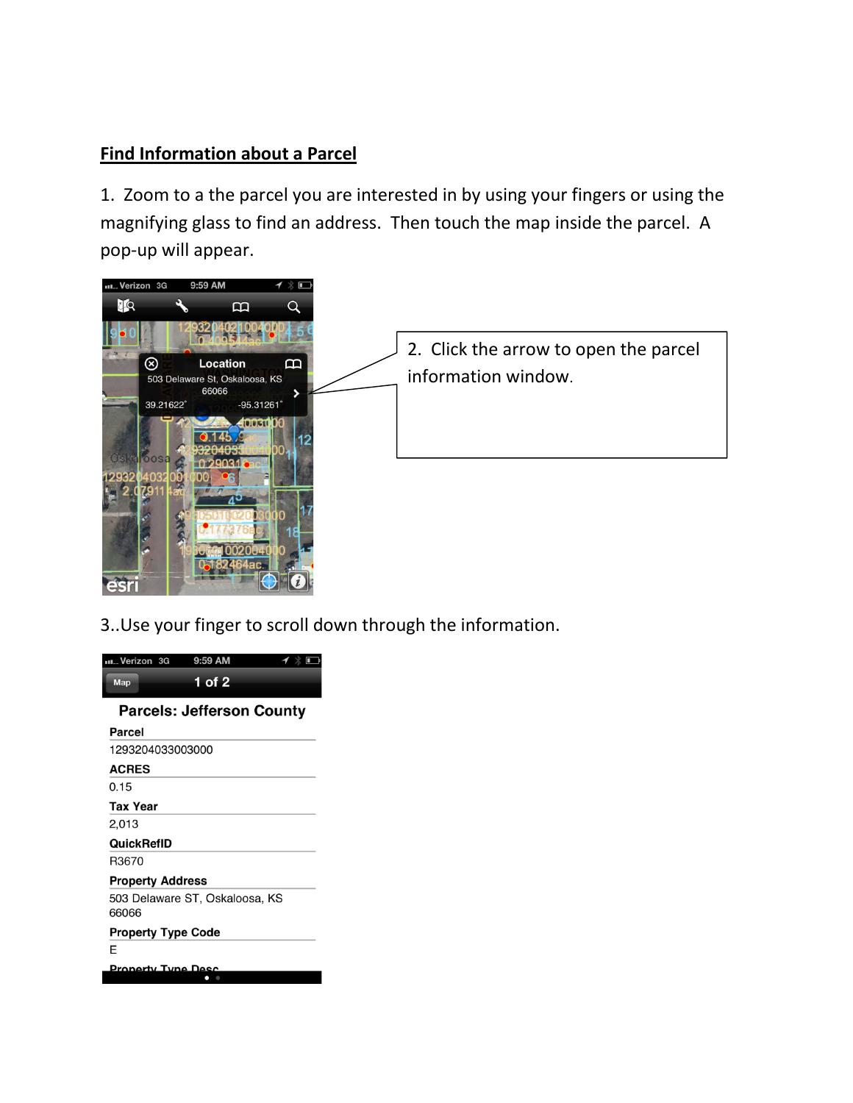## **Find Information about a Parcel**

1. Zoom to a the parcel you are interested in by using your fingers or using the magnifying glass to find an address. Then touch the map inside the parcel. A pop-up will appear.



3..Use your finger to scroll down through the information.